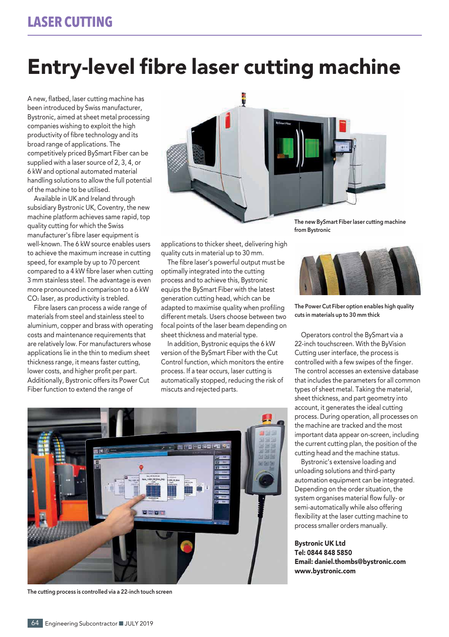## Entry-level fibre laser cutting machine

A new, flatbed, laser cutting machine has been introduced by Swiss manufacturer, Bystronic, aimed at sheet metal processing companies wishing to exploit the high productivity of fibre technology and its broad range of applications. The competitively priced BySmart Fiber can be supplied with a laser source of 2, 3, 4, or 6 kW and optional automated material handling solutions to allow the full potential of the machine to be utilised.

Available in UK and Ireland through subsidiary Bystronic UK, Coventry, the new machine platform achieves same rapid, top quality cutting for which the Swiss manufacturer's fibre laser equipment is well-known. The 6 kW source enables users to achieve the maximum increase in cutting speed, for example by up to 70 percent compared to a 4 kW fibre laser when cutting 3 mm stainless steel. The advantage is even more pronounced in comparison to a 6 kW CO2 laser, as productivity is trebled.

Fibre lasers can process a wide range of materials from steel and stainless steel to aluminium, copper and brass with operating costs and maintenance requirements that are relatively low. For manufacturers whose applications lie in the thin to medium sheet thickness range, it means faster cutting, lower costs, and higher profit per part. Additionally, Bystronic offers its Power Cut Fiber function to extend the range of



applications to thicker sheet, delivering high quality cuts in material up to 30 mm.

The fibre laser's powerful output must be optimally integrated into the cutting process and to achieve this, Bystronic equips the BySmart Fiber with the latest generation cutting head, which can be adapted to maximise quality when profiling different metals. Users choose between two focal points of the laser beam depending on sheet thickness and material type.

In addition, Bystronic equips the 6 kW version of the BySmart Fiber with the Cut Control function, which monitors the entire process. If a tear occurs, laser cutting is automatically stopped, reducing the risk of miscuts and rejected parts.



**The cutting process is controlled via a 22-inch touch screen**

**The new BySmart Fiber laser cutting machine from Bystronic**



**The Power Cut Fiber option enables high quality cuts in materials up to 30 mm thick**

Operators control the BySmart via a 22-inch touchscreen. With the ByVision Cutting user interface, the process is controlled with a few swipes of the finger. The control accesses an extensive database that includes the parameters for all common types of sheet metal. Taking the material, sheet thickness, and part geometry into account, it generates the ideal cutting process. During operation, all processes on the machine are tracked and the most important data appear on-screen, including the current cutting plan, the position of the cutting head and the machine status.

Bystronic's extensive loading and unloading solutions and third-party automation equipment can be integrated. Depending on the order situation, the system organises material flow fully- or semi-automatically while also offering flexibility at the laser cutting machine to process smaller orders manually.

Bystronic UK Ltd Tel: 0844 848 5850 Email: daniel.thombs@bystronic.com www.bystronic.com